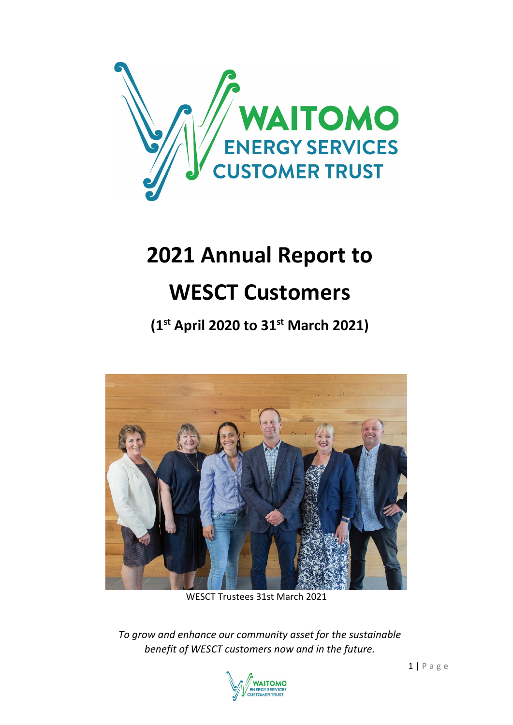

# **2021 Annual Report to**

## **WESCT Customers**

**(1st April 2020 to 31st March 2021)**



WESCT Trustees 31st March 2021

*To grow and enhance our community asset for the sustainable benefit of WESCT customers now and in the future.*

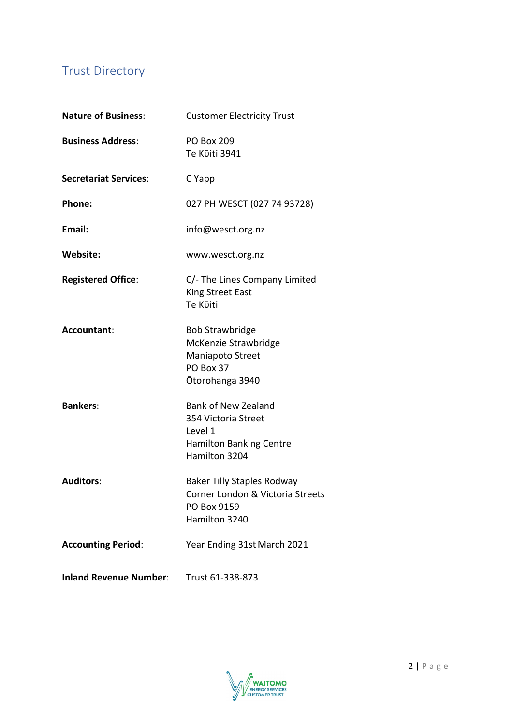## Trust Directory

| <b>Nature of Business:</b>    | <b>Customer Electricity Trust</b><br><b>PO Box 209</b><br>Te Kūiti 3941                                         |  |
|-------------------------------|-----------------------------------------------------------------------------------------------------------------|--|
| <b>Business Address:</b>      |                                                                                                                 |  |
| <b>Secretariat Services:</b>  | C Yapp                                                                                                          |  |
| Phone:                        | 027 PH WESCT (027 74 93728)                                                                                     |  |
| Email:                        | info@wesct.org.nz                                                                                               |  |
| Website:                      | www.wesct.org.nz                                                                                                |  |
| <b>Registered Office:</b>     | C/- The Lines Company Limited<br><b>King Street East</b><br>Te Kūiti                                            |  |
| Accountant:                   | <b>Bob Strawbridge</b><br>McKenzie Strawbridge<br>Maniapoto Street<br>PO Box 37<br>Ōtorohanga 3940              |  |
| <b>Bankers:</b>               | <b>Bank of New Zealand</b><br>354 Victoria Street<br>Level 1<br><b>Hamilton Banking Centre</b><br>Hamilton 3204 |  |
| <b>Auditors:</b>              | <b>Baker Tilly Staples Rodway</b><br>Corner London & Victoria Streets<br>PO Box 9159<br>Hamilton 3240           |  |
| <b>Accounting Period:</b>     | Year Ending 31st March 2021                                                                                     |  |
| <b>Inland Revenue Number:</b> | Trust 61-338-873                                                                                                |  |

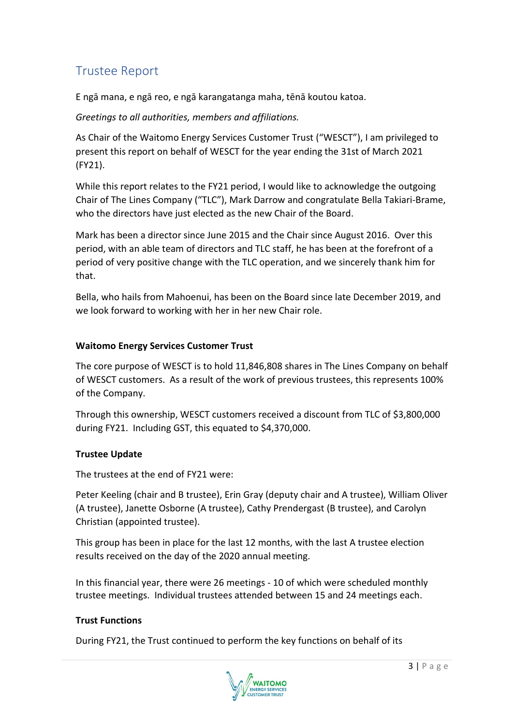## Trustee Report

E ngā mana, e ngā reo, e ngā karangatanga maha, tēnā koutou katoa.

#### *Greetings to all authorities, members and affiliations.*

As Chair of the Waitomo Energy Services Customer Trust ("WESCT"), I am privileged to present this report on behalf of WESCT for the year ending the 31st of March 2021 (FY21).

While this report relates to the FY21 period, I would like to acknowledge the outgoing Chair of The Lines Company ("TLC"), Mark Darrow and congratulate Bella Takiari-Brame, who the directors have just elected as the new Chair of the Board.

Mark has been a director since June 2015 and the Chair since August 2016. Over this period, with an able team of directors and TLC staff, he has been at the forefront of a period of very positive change with the TLC operation, and we sincerely thank him for that.

Bella, who hails from Mahoenui, has been on the Board since late December 2019, and we look forward to working with her in her new Chair role.

#### **Waitomo Energy Services Customer Trust**

The core purpose of WESCT is to hold 11,846,808 shares in The Lines Company on behalf of WESCT customers. As a result of the work of previous trustees, this represents 100% of the Company.

Through this ownership, WESCT customers received a discount from TLC of \$3,800,000 during FY21. Including GST, this equated to \$4,370,000.

#### **Trustee Update**

The trustees at the end of FY21 were:

Peter Keeling (chair and B trustee), Erin Gray (deputy chair and A trustee), William Oliver (A trustee), Janette Osborne (A trustee), Cathy Prendergast (B trustee), and Carolyn Christian (appointed trustee).

This group has been in place for the last 12 months, with the last A trustee election results received on the day of the 2020 annual meeting.

In this financial year, there were 26 meetings - 10 of which were scheduled monthly trustee meetings. Individual trustees attended between 15 and 24 meetings each.

#### **Trust Functions**

During FY21, the Trust continued to perform the key functions on behalf of its

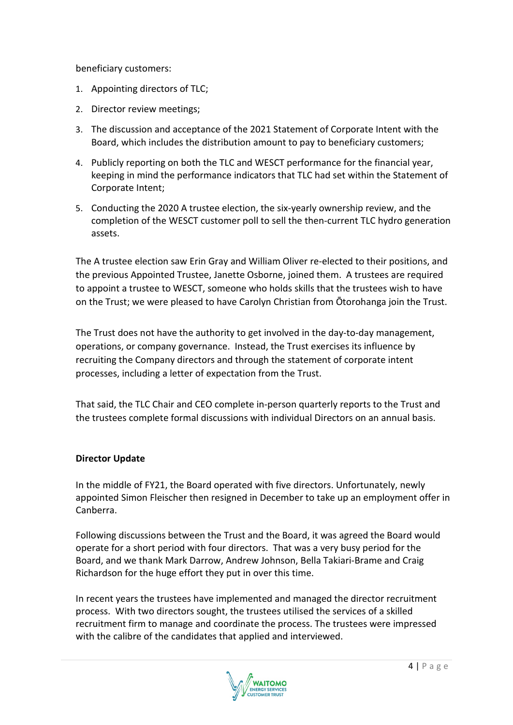beneficiary customers:

- 1. Appointing directors of TLC;
- 2. Director review meetings;
- 3. The discussion and acceptance of the 2021 Statement of Corporate Intent with the Board, which includes the distribution amount to pay to beneficiary customers;
- 4. Publicly reporting on both the TLC and WESCT performance for the financial year, keeping in mind the performance indicators that TLC had set within the Statement of Corporate Intent;
- 5. Conducting the 2020 A trustee election, the six-yearly ownership review, and the completion of the WESCT customer poll to sell the then-current TLC hydro generation assets.

The A trustee election saw Erin Gray and William Oliver re-elected to their positions, and the previous Appointed Trustee, Janette Osborne, joined them. A trustees are required to appoint a trustee to WESCT, someone who holds skills that the trustees wish to have on the Trust; we were pleased to have Carolyn Christian from Ōtorohanga join the Trust.

The Trust does not have the authority to get involved in the day-to-day management, operations, or company governance. Instead, the Trust exercises its influence by recruiting the Company directors and through the statement of corporate intent processes, including a letter of expectation from the Trust.

That said, the TLC Chair and CEO complete in-person quarterly reports to the Trust and the trustees complete formal discussions with individual Directors on an annual basis.

#### **Director Update**

In the middle of FY21, the Board operated with five directors. Unfortunately, newly appointed Simon Fleischer then resigned in December to take up an employment offer in Canberra.

Following discussions between the Trust and the Board, it was agreed the Board would operate for a short period with four directors. That was a very busy period for the Board, and we thank Mark Darrow, Andrew Johnson, Bella Takiari-Brame and Craig Richardson for the huge effort they put in over this time.

In recent years the trustees have implemented and managed the director recruitment process. With two directors sought, the trustees utilised the services of a skilled recruitment firm to manage and coordinate the process. The trustees were impressed with the calibre of the candidates that applied and interviewed.

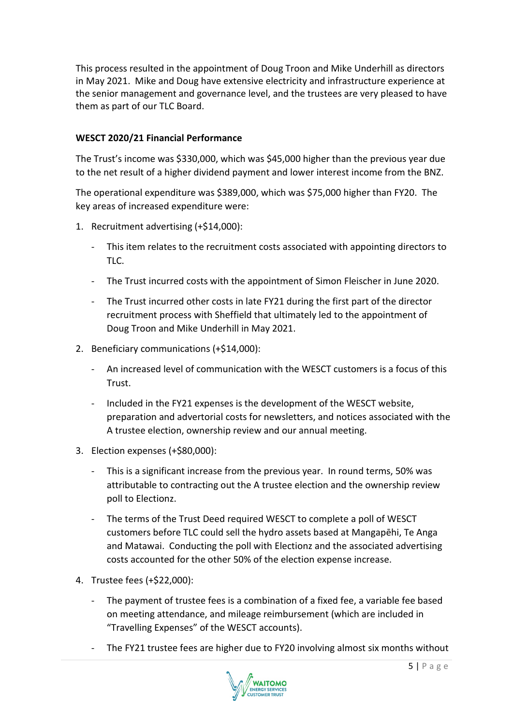This process resulted in the appointment of Doug Troon and Mike Underhill as directors in May 2021. Mike and Doug have extensive electricity and infrastructure experience at the senior management and governance level, and the trustees are very pleased to have them as part of our TLC Board.

#### **WESCT 2020/21 Financial Performance**

The Trust's income was \$330,000, which was \$45,000 higher than the previous year due to the net result of a higher dividend payment and lower interest income from the BNZ.

The operational expenditure was \$389,000, which was \$75,000 higher than FY20. The key areas of increased expenditure were:

- 1. Recruitment advertising (+\$14,000):
	- This item relates to the recruitment costs associated with appointing directors to TLC.
	- The Trust incurred costs with the appointment of Simon Fleischer in June 2020.
	- The Trust incurred other costs in late FY21 during the first part of the director recruitment process with Sheffield that ultimately led to the appointment of Doug Troon and Mike Underhill in May 2021.
- 2. Beneficiary communications (+\$14,000):
	- An increased level of communication with the WESCT customers is a focus of this Trust.
	- Included in the FY21 expenses is the development of the WESCT website, preparation and advertorial costs for newsletters, and notices associated with the A trustee election, ownership review and our annual meeting.
- 3. Election expenses (+\$80,000):
	- This is a significant increase from the previous year. In round terms, 50% was attributable to contracting out the A trustee election and the ownership review poll to Electionz.
	- The terms of the Trust Deed required WESCT to complete a poll of WESCT customers before TLC could sell the hydro assets based at Mangapēhi, Te Anga and Matawai. Conducting the poll with Electionz and the associated advertising costs accounted for the other 50% of the election expense increase.
- 4. Trustee fees (+\$22,000):
	- The payment of trustee fees is a combination of a fixed fee, a variable fee based on meeting attendance, and mileage reimbursement (which are included in "Travelling Expenses" of the WESCT accounts).
	- The FY21 trustee fees are higher due to FY20 involving almost six months without

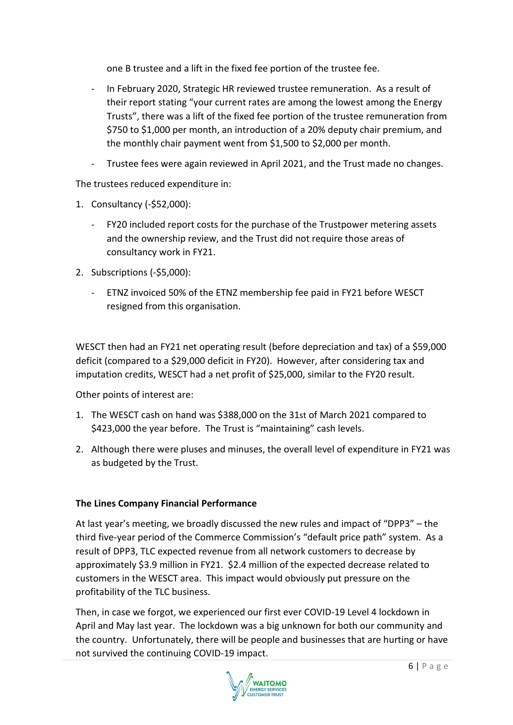one B trustee and a lift in the fixed fee portion of the trustee fee.

- In February 2020, Strategic HR reviewed trustee remuneration. As a result of their report stating "your current rates are among the lowest among the Energy Trusts", there was a lift of the fixed fee portion of the trustee remuneration from \$750 to \$1,000 per month, an introduction of a 20% deputy chair premium, and the monthly chair payment went from \$1,500 to \$2,000 per month.
- Trustee fees were again reviewed in April 2021, and the Trust made no changes.

The trustees reduced expenditure in:

- 1. Consultancy (-\$52,000):
	- FY20 included report costs for the purchase of the Trustpower metering assets and the ownership review, and the Trust did not require those areas of consultancy work in FY21.
- 2. Subscriptions (-\$5,000):
	- ETNZ invoiced 50% of the ETNZ membership fee paid in FY21 before WESCT resigned from this organisation.

WESCT then had an FY21 net operating result (before depreciation and tax) of a \$59,000 deficit (compared to a \$29,000 deficit in FY20). However, after considering tax and imputation credits, WESCT had a net profit of \$25,000, similar to the FY20 result.

Other points of interest are:

- 1. The WESCT cash on hand was \$388,000 on the 31st of March 2021 compared to \$423,000 the year before. The Trust is "maintaining" cash levels.
- 2. Although there were pluses and minuses, the overall level of expenditure in FY21 was as budgeted by the Trust.

#### **The Lines Company Financial Performance**

At last year's meeting, we broadly discussed the new rules and impact of "DPP3" – the third five-year period of the Commerce Commission's "default price path" system. As a result of DPP3, TLC expected revenue from all network customers to decrease by approximately \$3.9 million in FY21. \$2.4 million of the expected decrease related to customers in the WESCT area. This impact would obviously put pressure on the profitability of the TLC business.

Then, in case we forgot, we experienced our first ever COVID-19 Level 4 lockdown in April and May last year. The lockdown was a big unknown for both our community and the country. Unfortunately, there will be people and businesses that are hurting or have not survived the continuing COVID-19 impact.

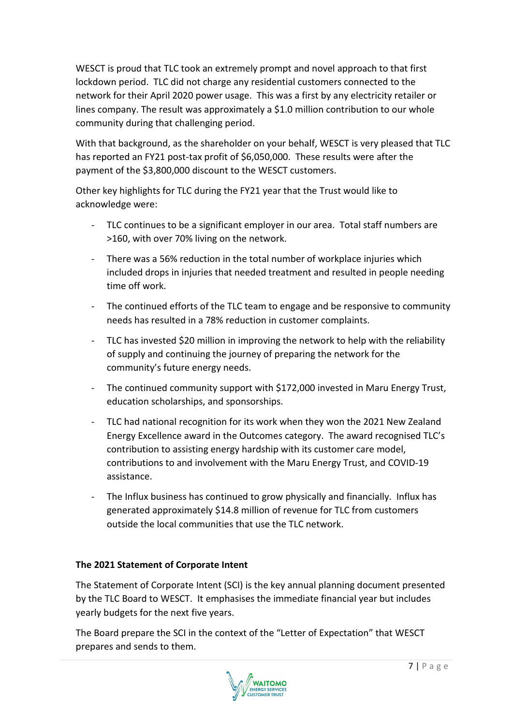WESCT is proud that TLC took an extremely prompt and novel approach to that first lockdown period. TLC did not charge any residential customers connected to the network for their April 2020 power usage. This was a first by any electricity retailer or lines company. The result was approximately a \$1.0 million contribution to our whole community during that challenging period.

With that background, as the shareholder on your behalf, WESCT is very pleased that TLC has reported an FY21 post-tax profit of \$6,050,000. These results were after the payment of the \$3,800,000 discount to the WESCT customers.

Other key highlights for TLC during the FY21 year that the Trust would like to acknowledge were:

- TLC continues to be a significant employer in our area. Total staff numbers are >160, with over 70% living on the network.
- There was a 56% reduction in the total number of workplace injuries which included drops in injuries that needed treatment and resulted in people needing time off work.
- The continued efforts of the TLC team to engage and be responsive to community needs has resulted in a 78% reduction in customer complaints.
- TLC has invested \$20 million in improving the network to help with the reliability of supply and continuing the journey of preparing the network for the community's future energy needs.
- The continued community support with \$172,000 invested in Maru Energy Trust, education scholarships, and sponsorships.
- TLC had national recognition for its work when they won the 2021 New Zealand Energy Excellence award in the Outcomes category. The award recognised TLC's contribution to assisting energy hardship with its customer care model, contributions to and involvement with the Maru Energy Trust, and COVID-19 assistance.
- The Influx business has continued to grow physically and financially. Influx has generated approximately \$14.8 million of revenue for TLC from customers outside the local communities that use the TLC network.

#### **The 2021 Statement of Corporate Intent**

The Statement of Corporate Intent (SCI) is the key annual planning document presented by the TLC Board to WESCT. It emphasises the immediate financial year but includes yearly budgets for the next five years.

The Board prepare the SCI in the context of the "Letter of Expectation" that WESCT prepares and sends to them.

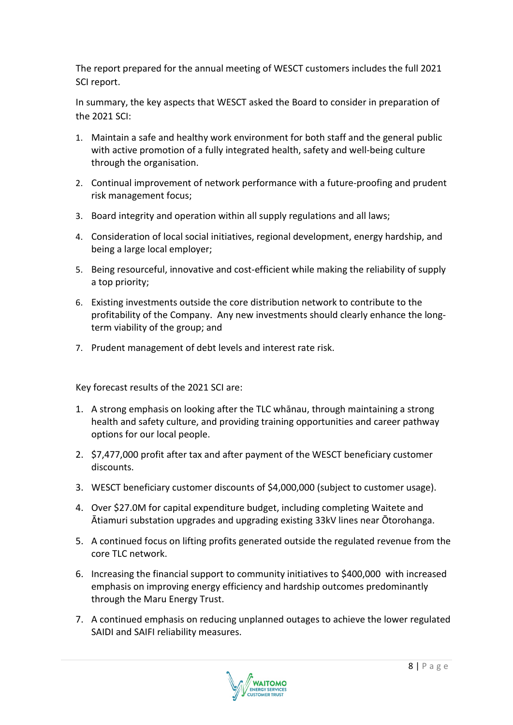The report prepared for the annual meeting of WESCT customers includes the full 2021 SCI report.

In summary, the key aspects that WESCT asked the Board to consider in preparation of the 2021 SCI:

- 1. Maintain a safe and healthy work environment for both staff and the general public with active promotion of a fully integrated health, safety and well-being culture through the organisation.
- 2. Continual improvement of network performance with a future-proofing and prudent risk management focus;
- 3. Board integrity and operation within all supply regulations and all laws;
- 4. Consideration of local social initiatives, regional development, energy hardship, and being a large local employer;
- 5. Being resourceful, innovative and cost-efficient while making the reliability of supply a top priority;
- 6. Existing investments outside the core distribution network to contribute to the profitability of the Company. Any new investments should clearly enhance the longterm viability of the group; and
- 7. Prudent management of debt levels and interest rate risk.

Key forecast results of the 2021 SCI are:

- 1. A strong emphasis on looking after the TLC whānau, through maintaining a strong health and safety culture, and providing training opportunities and career pathway options for our local people.
- 2. \$7,477,000 profit after tax and after payment of the WESCT beneficiary customer discounts.
- 3. WESCT beneficiary customer discounts of \$4,000,000 (subject to customer usage).
- 4. Over \$27.0M for capital expenditure budget, including completing Waitete and Ātiamuri substation upgrades and upgrading existing 33kV lines near Ōtorohanga.
- 5. A continued focus on lifting profits generated outside the regulated revenue from the core TLC network.
- 6. Increasing the financial support to community initiatives to \$400,000 with increased emphasis on improving energy efficiency and hardship outcomes predominantly through the Maru Energy Trust.
- 7. A continued emphasis on reducing unplanned outages to achieve the lower regulated SAIDI and SAIFI reliability measures.

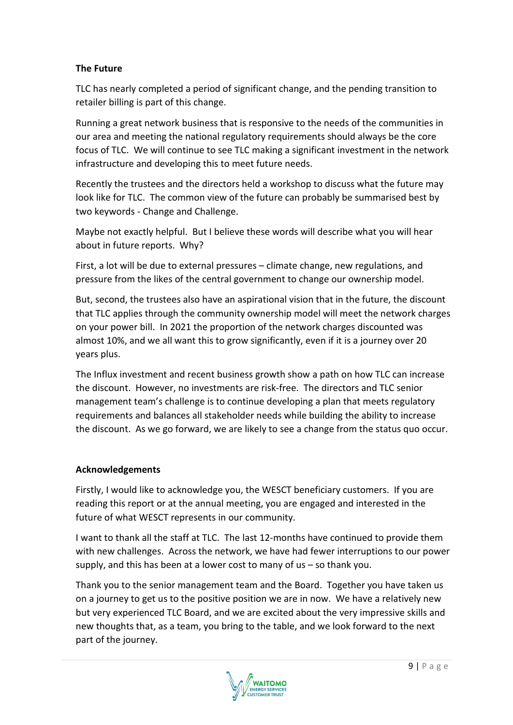#### **The Future**

TLC has nearly completed a period of significant change, and the pending transition to retailer billing is part of this change.

Running a great network business that is responsive to the needs of the communities in our area and meeting the national regulatory requirements should always be the core focus of TLC. We will continue to see TLC making a significant investment in the network infrastructure and developing this to meet future needs.

Recently the trustees and the directors held a workshop to discuss what the future may look like for TLC. The common view of the future can probably be summarised best by two keywords - Change and Challenge.

Maybe not exactly helpful. But I believe these words will describe what you will hear about in future reports. Why?

First, a lot will be due to external pressures – climate change, new regulations, and pressure from the likes of the central government to change our ownership model.

But, second, the trustees also have an aspirational vision that in the future, the discount that TLC applies through the community ownership model will meet the network charges on your power bill. In 2021 the proportion of the network charges discounted was almost 10%, and we all want this to grow significantly, even if it is a journey over 20 years plus.

The Influx investment and recent business growth show a path on how TLC can increase the discount. However, no investments are risk-free. The directors and TLC senior management team's challenge is to continue developing a plan that meets regulatory requirements and balances all stakeholder needs while building the ability to increase the discount. As we go forward, we are likely to see a change from the status quo occur.

#### **Acknowledgements**

Firstly, I would like to acknowledge you, the WESCT beneficiary customers. If you are reading this report or at the annual meeting, you are engaged and interested in the future of what WESCT represents in our community.

I want to thank all the staff at TLC. The last 12-months have continued to provide them with new challenges. Across the network, we have had fewer interruptions to our power supply, and this has been at a lower cost to many of us – so thank you.

Thank you to the senior management team and the Board. Together you have taken us on a journey to get us to the positive position we are in now. We have a relatively new but very experienced TLC Board, and we are excited about the very impressive skills and new thoughts that, as a team, you bring to the table, and we look forward to the next part of the journey.

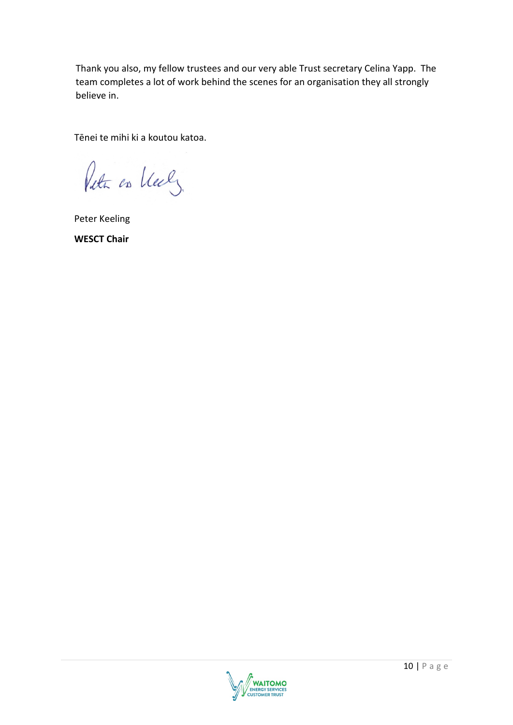Thank you also, my fellow trustees and our very able Trust secretary Celina Yapp. The team completes a lot of work behind the scenes for an organisation they all strongly believe in.

Tēnei te mihi ki a koutou katoa.

Puta on Vely

Peter Keeling **WESCT Chair**

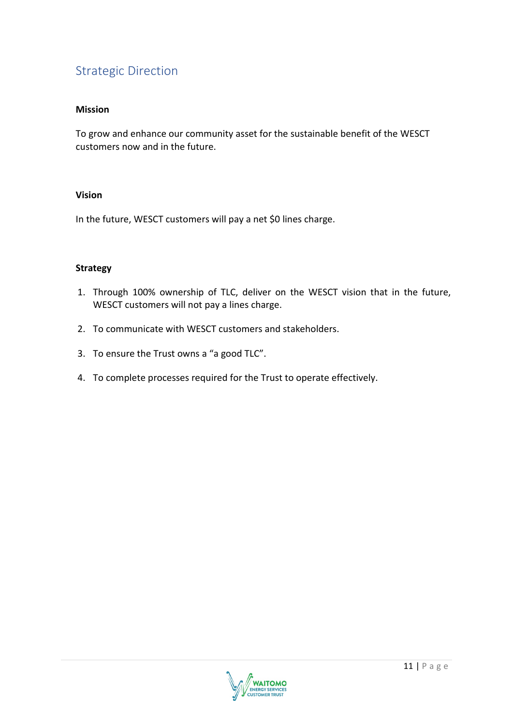## Strategic Direction

#### **Mission**

To grow and enhance our community asset for the sustainable benefit of the WESCT customers now and in the future.

#### **Vision**

In the future, WESCT customers will pay a net \$0 lines charge.

#### **Strategy**

- 1. Through 100% ownership of TLC, deliver on the WESCT vision that in the future, WESCT customers will not pay a lines charge.
- 2. To communicate with WESCT customers and stakeholders.
- 3. To ensure the Trust owns a "a good TLC".
- 4. To complete processes required for the Trust to operate effectively.